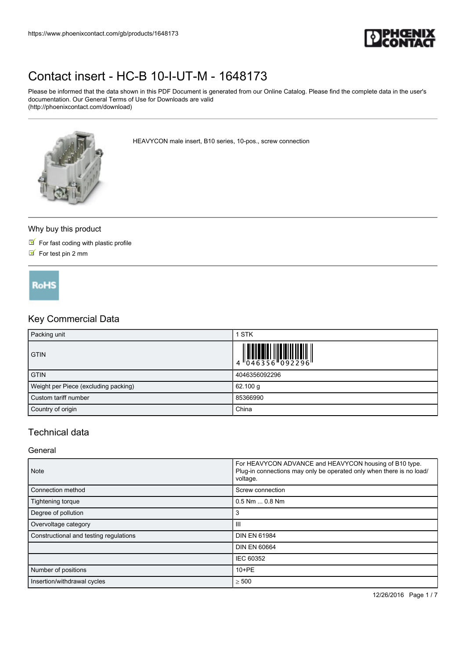

Please be informed that the data shown in this PDF Document is generated from our Online Catalog. Please find the complete data in the user's documentation. Our General Terms of Use for Downloads are valid (http://phoenixcontact.com/download)



HEAVYCON male insert, B10 series, 10-pos., screw connection

#### Why buy this product

- $\blacksquare$  For fast coding with plastic profile
- $\triangleright$  For test pin 2 mm

**RoHS** 

## Key Commercial Data

| Packing unit                         | 1 STK         |
|--------------------------------------|---------------|
| <b>GTIN</b>                          |               |
| <b>GTIN</b>                          | 4046356092296 |
| Weight per Piece (excluding packing) | 62.100 g      |
| Custom tariff number                 | 85366990      |
| Country of origin                    | China         |

### Technical data

#### General

| <b>Note</b>                            | For HEAVYCON ADVANCE and HEAVYCON housing of B10 type.<br>Plug-in connections may only be operated only when there is no load/<br>voltage. |  |
|----------------------------------------|--------------------------------------------------------------------------------------------------------------------------------------------|--|
| Connection method                      | Screw connection                                                                                                                           |  |
| Tightening torque                      | $0.5$ Nm $\dots$ 0.8 Nm                                                                                                                    |  |
| Degree of pollution                    | 3                                                                                                                                          |  |
| Overvoltage category                   | Ш                                                                                                                                          |  |
| Constructional and testing regulations | <b>DIN EN 61984</b>                                                                                                                        |  |
|                                        | <b>DIN EN 60664</b>                                                                                                                        |  |
|                                        | IEC 60352                                                                                                                                  |  |
| Number of positions                    | $10 + PE$                                                                                                                                  |  |
| Insertion/withdrawal cycles            | $\geq 500$                                                                                                                                 |  |

12/26/2016 Page 1 / 7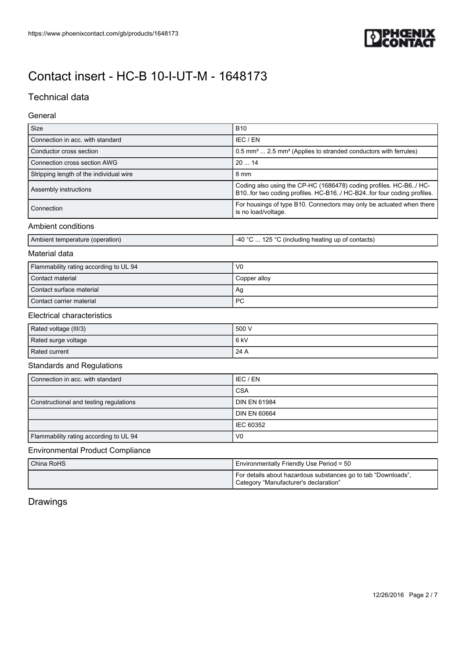

## Technical data

### General

| Size                                    | <b>B10</b>                                                                                                                                   |
|-----------------------------------------|----------------------------------------------------------------------------------------------------------------------------------------------|
| Connection in acc. with standard        | IEC / EN                                                                                                                                     |
| Conductor cross section                 | 0.5 mm <sup>2</sup> 2.5 mm <sup>2</sup> (Applies to stranded conductors with ferrules)                                                       |
| Connection cross section AWG            | 2014                                                                                                                                         |
| Stripping length of the individual wire | 8 mm                                                                                                                                         |
| Assembly instructions                   | Coding also using the CP-HC (1686478) coding profiles. HC-B6/ HC-<br>B10. for two coding profiles. HC-B16/ HC-B24. for four coding profiles. |
| Connection                              | For housings of type B10. Connectors may only be actuated when there<br>is no load/voltage.                                                  |
|                                         |                                                                                                                                              |

#### Ambient conditions

| 125 °C<br>$\sim$ $\sim$<br>Ambient temperature (operation)<br>c (including heating up of contacts)<br>_ <i>A</i> ( )<br>r v |
|-----------------------------------------------------------------------------------------------------------------------------|
|-----------------------------------------------------------------------------------------------------------------------------|

### Material data

| Flammability rating according to UL 94 | V <sub>0</sub> |
|----------------------------------------|----------------|
| Contact material                       | Copper alloy   |
| Contact surface material               | Ag             |
| Contact carrier material               | <b>PC</b>      |

### Electrical characteristics

| Rated voltage (III/3) | 500 V |
|-----------------------|-------|
| Rated surge voltage   | 6 kV  |
| Rated current         | 24 A  |

### Standards and Regulations

| Connection in acc. with standard       | I IEC / EN          |
|----------------------------------------|---------------------|
|                                        | <b>CSA</b>          |
| Constructional and testing regulations | <b>DIN EN 61984</b> |
|                                        | <b>DIN EN 60664</b> |
|                                        | I IEC 60352         |
| Flammability rating according to UL 94 | V <sub>0</sub>      |

#### Environmental Product Compliance

| China RoHS | Environmentally Friendly Use Period = 50                                                               |  |
|------------|--------------------------------------------------------------------------------------------------------|--|
|            | For details about hazardous substances go to tab "Downloads",<br>Category "Manufacturer's declaration" |  |

Drawings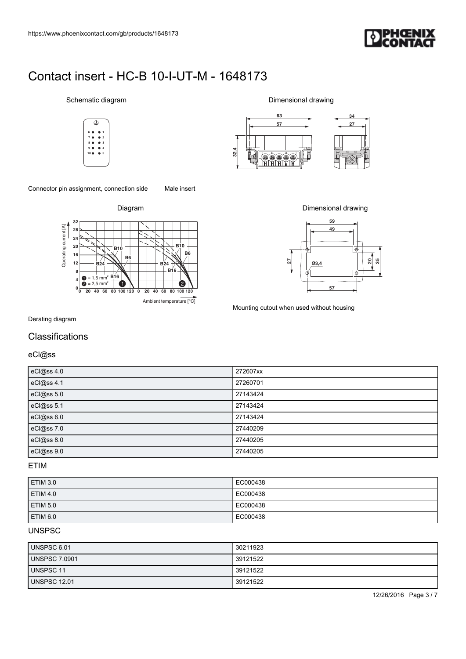

#### Schematic diagram













Mounting cutout when used without housing

### **Classifications**

| Schematic diagram<br>Dimensional drawing<br>63<br>34<br>⊕<br>57<br>27<br>32,4<br><del>oooo</del><br>Hili<br>۲<br>Male insert<br>Diagram<br>Dimensional drawing<br>59<br>32<br>Operating current [A]<br>49<br>28<br>24<br><b>B10</b><br>${\bf 20}$<br><b>B10</b><br>⊺∳<br><b>B6</b><br>16<br>$\overline{B6}$<br>ន $\vert$ ន<br>$\overline{27}$<br>$12\,$<br>Q3,4<br><b>B24</b><br><b>B24</b><br>B16.<br>8<br>v<br>$\Rightarrow$<br>∯<br>$= 1.5$ mm <sup>2</sup> $\underline{B16}$<br>$\overline{a}$<br>2<br>$= 2.5$ mm <sup>2</sup><br>v<br>G<br>57<br>$0\frac{1}{0}$<br>20 40 60 80 100 120 0 20 40 60 80 100 120<br>Ambient temperature [°C]<br>Mounting cutout when used without housing<br>eCl@ss 4.0<br>272607xx<br>$\overline{eCl@ss4.1}$<br>27260701<br>eCl@ss 5.0<br>27143424<br>eCl@ss 5.1<br>27143424 |            |          |
|----------------------------------------------------------------------------------------------------------------------------------------------------------------------------------------------------------------------------------------------------------------------------------------------------------------------------------------------------------------------------------------------------------------------------------------------------------------------------------------------------------------------------------------------------------------------------------------------------------------------------------------------------------------------------------------------------------------------------------------------------------------------------------------------------------------|------------|----------|
|                                                                                                                                                                                                                                                                                                                                                                                                                                                                                                                                                                                                                                                                                                                                                                                                                |            |          |
| https://www.phoenixcontact.com/gb/products/1648173<br>Contact insert - HC-B 10-I-UT-M - 1648173<br>Connector pin assignment, connection side<br>Derating diagram<br>Classifications<br>eCl@ss                                                                                                                                                                                                                                                                                                                                                                                                                                                                                                                                                                                                                  |            |          |
|                                                                                                                                                                                                                                                                                                                                                                                                                                                                                                                                                                                                                                                                                                                                                                                                                |            |          |
|                                                                                                                                                                                                                                                                                                                                                                                                                                                                                                                                                                                                                                                                                                                                                                                                                |            |          |
|                                                                                                                                                                                                                                                                                                                                                                                                                                                                                                                                                                                                                                                                                                                                                                                                                |            |          |
|                                                                                                                                                                                                                                                                                                                                                                                                                                                                                                                                                                                                                                                                                                                                                                                                                |            |          |
|                                                                                                                                                                                                                                                                                                                                                                                                                                                                                                                                                                                                                                                                                                                                                                                                                |            |          |
|                                                                                                                                                                                                                                                                                                                                                                                                                                                                                                                                                                                                                                                                                                                                                                                                                |            |          |
|                                                                                                                                                                                                                                                                                                                                                                                                                                                                                                                                                                                                                                                                                                                                                                                                                |            |          |
|                                                                                                                                                                                                                                                                                                                                                                                                                                                                                                                                                                                                                                                                                                                                                                                                                |            |          |
|                                                                                                                                                                                                                                                                                                                                                                                                                                                                                                                                                                                                                                                                                                                                                                                                                |            |          |
|                                                                                                                                                                                                                                                                                                                                                                                                                                                                                                                                                                                                                                                                                                                                                                                                                |            |          |
|                                                                                                                                                                                                                                                                                                                                                                                                                                                                                                                                                                                                                                                                                                                                                                                                                |            |          |
|                                                                                                                                                                                                                                                                                                                                                                                                                                                                                                                                                                                                                                                                                                                                                                                                                |            |          |
|                                                                                                                                                                                                                                                                                                                                                                                                                                                                                                                                                                                                                                                                                                                                                                                                                |            |          |
|                                                                                                                                                                                                                                                                                                                                                                                                                                                                                                                                                                                                                                                                                                                                                                                                                |            |          |
|                                                                                                                                                                                                                                                                                                                                                                                                                                                                                                                                                                                                                                                                                                                                                                                                                |            |          |
|                                                                                                                                                                                                                                                                                                                                                                                                                                                                                                                                                                                                                                                                                                                                                                                                                |            |          |
|                                                                                                                                                                                                                                                                                                                                                                                                                                                                                                                                                                                                                                                                                                                                                                                                                |            |          |
|                                                                                                                                                                                                                                                                                                                                                                                                                                                                                                                                                                                                                                                                                                                                                                                                                |            |          |
|                                                                                                                                                                                                                                                                                                                                                                                                                                                                                                                                                                                                                                                                                                                                                                                                                |            |          |
|                                                                                                                                                                                                                                                                                                                                                                                                                                                                                                                                                                                                                                                                                                                                                                                                                |            |          |
|                                                                                                                                                                                                                                                                                                                                                                                                                                                                                                                                                                                                                                                                                                                                                                                                                |            |          |
|                                                                                                                                                                                                                                                                                                                                                                                                                                                                                                                                                                                                                                                                                                                                                                                                                |            |          |
|                                                                                                                                                                                                                                                                                                                                                                                                                                                                                                                                                                                                                                                                                                                                                                                                                |            |          |
|                                                                                                                                                                                                                                                                                                                                                                                                                                                                                                                                                                                                                                                                                                                                                                                                                |            |          |
|                                                                                                                                                                                                                                                                                                                                                                                                                                                                                                                                                                                                                                                                                                                                                                                                                |            |          |
|                                                                                                                                                                                                                                                                                                                                                                                                                                                                                                                                                                                                                                                                                                                                                                                                                |            |          |
|                                                                                                                                                                                                                                                                                                                                                                                                                                                                                                                                                                                                                                                                                                                                                                                                                |            |          |
|                                                                                                                                                                                                                                                                                                                                                                                                                                                                                                                                                                                                                                                                                                                                                                                                                |            |          |
|                                                                                                                                                                                                                                                                                                                                                                                                                                                                                                                                                                                                                                                                                                                                                                                                                |            |          |
|                                                                                                                                                                                                                                                                                                                                                                                                                                                                                                                                                                                                                                                                                                                                                                                                                |            |          |
|                                                                                                                                                                                                                                                                                                                                                                                                                                                                                                                                                                                                                                                                                                                                                                                                                |            |          |
|                                                                                                                                                                                                                                                                                                                                                                                                                                                                                                                                                                                                                                                                                                                                                                                                                |            |          |
|                                                                                                                                                                                                                                                                                                                                                                                                                                                                                                                                                                                                                                                                                                                                                                                                                |            |          |
|                                                                                                                                                                                                                                                                                                                                                                                                                                                                                                                                                                                                                                                                                                                                                                                                                | eCl@ss 6.0 | 27143424 |
| eCl@ss 7.0<br>27440209                                                                                                                                                                                                                                                                                                                                                                                                                                                                                                                                                                                                                                                                                                                                                                                         |            |          |
| eCl@ss 8.0<br>27440205                                                                                                                                                                                                                                                                                                                                                                                                                                                                                                                                                                                                                                                                                                                                                                                         | eCl@ss 9.0 | 27440205 |

ETIM

| <b>ETIM 3.0</b> | EC000438 |
|-----------------|----------|
| <b>ETIM 4.0</b> | EC000438 |
| <b>ETIM 5.0</b> | EC000438 |
| <b>ETIM 6.0</b> | EC000438 |

### **UNSPSC**

| UNSPSC 6.01          | 30211923 |
|----------------------|----------|
| <b>UNSPSC 7.0901</b> | 39121522 |
| <b>UNSPSC 11</b>     | 39121522 |
| <b>UNSPSC 12.01</b>  | 39121522 |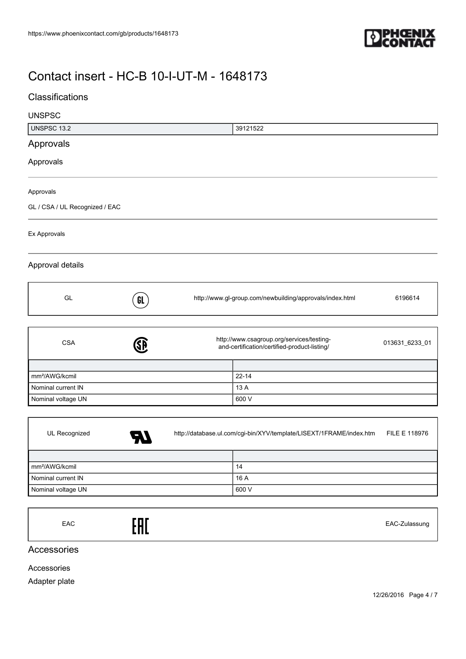

## **Classifications**

| <b>UNSPSC</b>                  |           |                                                                                           |           |                |
|--------------------------------|-----------|-------------------------------------------------------------------------------------------|-----------|----------------|
| <b>UNSPSC 13.2</b>             |           |                                                                                           | 39121522  |                |
| Approvals                      |           |                                                                                           |           |                |
| Approvals                      |           |                                                                                           |           |                |
| Approvals                      |           |                                                                                           |           |                |
| GL / CSA / UL Recognized / EAC |           |                                                                                           |           |                |
| Ex Approvals                   |           |                                                                                           |           |                |
| Approval details               |           |                                                                                           |           |                |
| GL                             | GL        | http://www.gl-group.com/newbuilding/approvals/index.html                                  |           | 6196614        |
|                                |           |                                                                                           |           |                |
| <b>CSA</b>                     | <b>SB</b> | http://www.csagroup.org/services/testing-<br>and-certification/certified-product-listing/ |           | 013631_6233_01 |
|                                |           |                                                                                           |           |                |
| mm <sup>2</sup> /AWG/kcmil     |           |                                                                                           | $22 - 14$ |                |
| Nominal current IN             |           |                                                                                           | 13 A      |                |
| Nominal voltage UN             |           |                                                                                           | 600 V     |                |
|                                |           |                                                                                           |           |                |

| UL Recognized              | A7 | http://database.ul.com/cgi-bin/XYV/template/LISEXT/1FRAME/index.htm |       | <b>FILE E 118976</b> |
|----------------------------|----|---------------------------------------------------------------------|-------|----------------------|
|                            |    |                                                                     |       |                      |
| mm <sup>2</sup> /AWG/kcmil |    |                                                                     | 14    |                      |
| Nominal current IN         |    |                                                                     | 16 A  |                      |
| Nominal voltage UN         |    |                                                                     | 600 V |                      |

EAC EAC-Zulassung

Accessories

Accessories

Adapter plate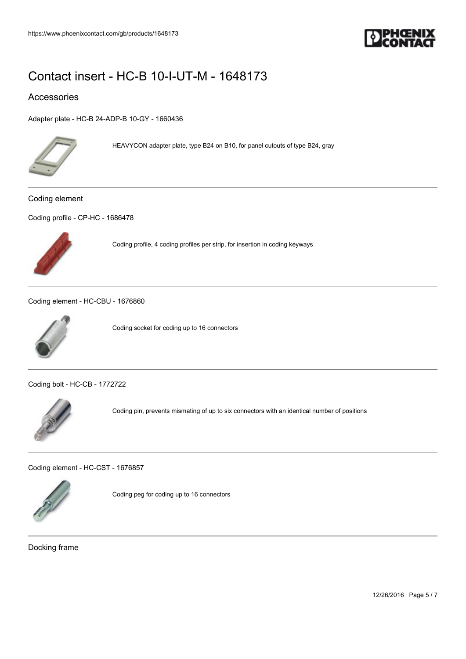

### Accessories

[Adapter plate - HC-B 24-ADP-B 10-GY - 1660436](https://www.phoenixcontact.com/gb/products/1660436)



HEAVYCON adapter plate, type B24 on B10, for panel cutouts of type B24, gray

Coding element

[Coding profile - CP-HC - 1686478](https://www.phoenixcontact.com/gb/products/1686478)



Coding profile, 4 coding profiles per strip, for insertion in coding keyways

[Coding element - HC-CBU - 1676860](https://www.phoenixcontact.com/gb/products/1676860)



Coding socket for coding up to 16 connectors

[Coding bolt - HC-CB - 1772722](https://www.phoenixcontact.com/gb/products/1772722)



Coding pin, prevents mismating of up to six connectors with an identical number of positions

[Coding element - HC-CST - 1676857](https://www.phoenixcontact.com/gb/products/1676857)



Coding peg for coding up to 16 connectors

Docking frame

12/26/2016 Page 5 / 7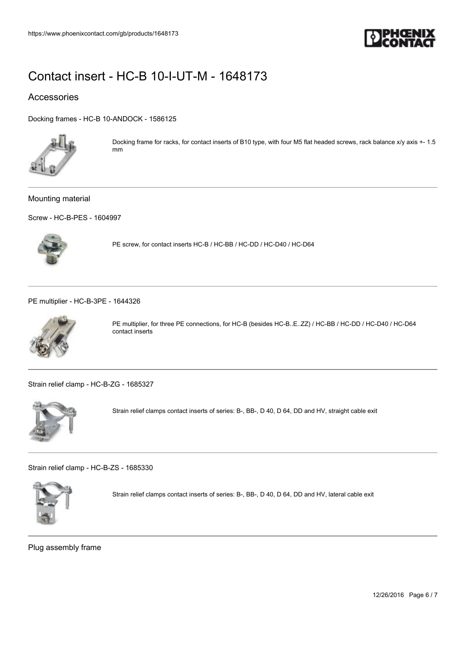

### Accessories

[Docking frames - HC-B 10-ANDOCK - 1586125](https://www.phoenixcontact.com/gb/products/1586125)



Docking frame for racks, for contact inserts of B10 type, with four M5 flat headed screws, rack balance x/y axis +- 1.5 mm

#### Mounting material

[Screw - HC-B-PES - 1604997](https://www.phoenixcontact.com/gb/products/1604997)



PE screw, for contact inserts HC-B / HC-BB / HC-DD / HC-D40 / HC-D64

[PE multiplier - HC-B-3PE - 1644326](https://www.phoenixcontact.com/gb/products/1644326)



PE multiplier, for three PE connections, for HC-B (besides HC-B..E..ZZ) / HC-BB / HC-DD / HC-D40 / HC-D64 contact inserts

[Strain relief clamp - HC-B-ZG - 1685327](https://www.phoenixcontact.com/gb/products/1685327)



Strain relief clamps contact inserts of series: B-, BB-, D 40, D 64, DD and HV, straight cable exit

[Strain relief clamp - HC-B-ZS - 1685330](https://www.phoenixcontact.com/gb/products/1685330)



Strain relief clamps contact inserts of series: B-, BB-, D 40, D 64, DD and HV, lateral cable exit

Plug assembly frame